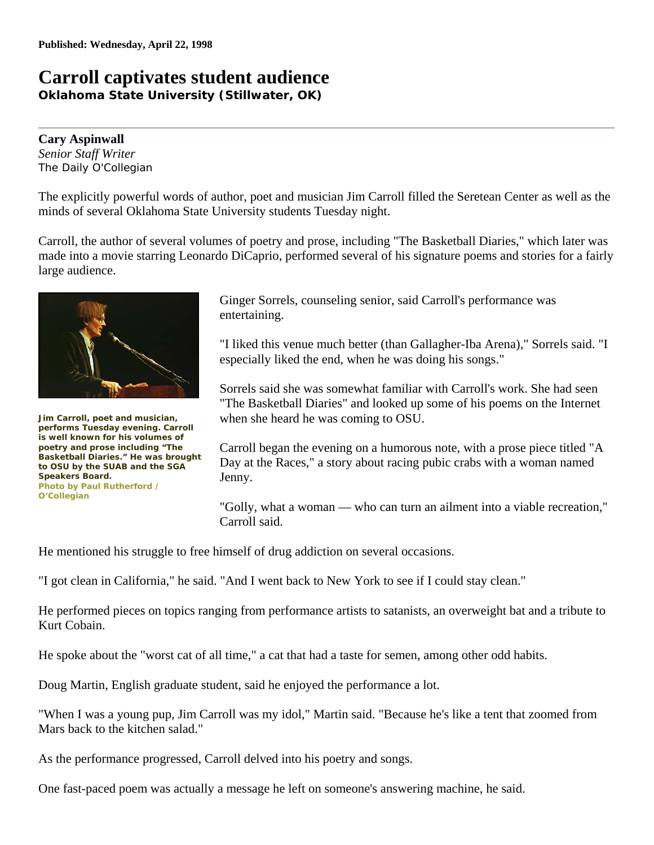## **Carroll captivates student audience Oklahoma State University (Stillwater, OK)**

**Cary Aspinwall** *Senior Staff Writer The Daily O'Collegian*

The explicitly powerful words of author, poet and musician Jim Carroll filled the Seretean Center as well as the minds of several Oklahoma State University students Tuesday night.

Carroll, the author of several volumes of poetry and prose, including "The Basketball Diaries," which later was made into a movie starring Leonardo DiCaprio, performed several of his signature poems and stories for a fairly large audience.



**Jim Carroll, poet and musician, performs Tuesday evening. Carroll is well known for his volumes of poetry and prose including "The Basketball Diaries." He was brought to OSU by the SUAB and the SGA Speakers Board. Photo by Paul Rutherford / O'Collegian**

Ginger Sorrels, counseling senior, said Carroll's performance was entertaining.

"I liked this venue much better (than Gallagher-Iba Arena)," Sorrels said. "I especially liked the end, when he was doing his songs."

Sorrels said she was somewhat familiar with Carroll's work. She had seen "The Basketball Diaries" and looked up some of his poems on the Internet when she heard he was coming to OSU.

Carroll began the evening on a humorous note, with a prose piece titled "A Day at the Races," a story about racing pubic crabs with a woman named Jenny.

"Golly, what a woman — who can turn an ailment into a viable recreation," Carroll said.

He mentioned his struggle to free himself of drug addiction on several occasions.

"I got clean in California," he said. "And I went back to New York to see if I could stay clean."

He performed pieces on topics ranging from performance artists to satanists, an overweight bat and a tribute to Kurt Cobain.

He spoke about the "worst cat of all time," a cat that had a taste for semen, among other odd habits.

Doug Martin, English graduate student, said he enjoyed the performance a lot.

"When I was a young pup, Jim Carroll was my idol," Martin said. "Because he's like a tent that zoomed from Mars back to the kitchen salad."

As the performance progressed, Carroll delved into his poetry and songs.

One fast-paced poem was actually a message he left on someone's answering machine, he said.